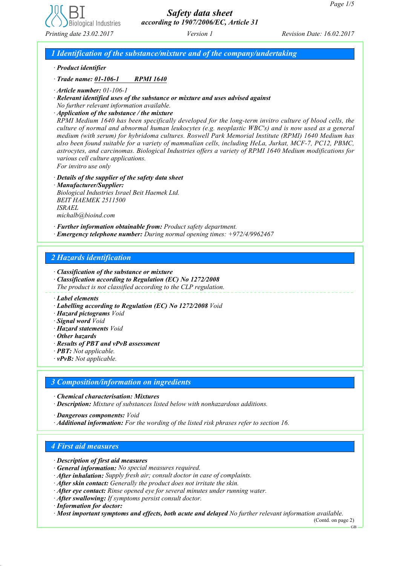

# *Safety data sheet according to 1907/2006/EC, Article 31*

*1 Identification of the substance/mixture and of the company/undertaking*

*· Product identifier*

*· Trade name: 01-106-1 RPMI 1640*

*· Article number: 01-106-1*

*· Relevant identified uses of the substance or mixture and uses advised against No further relevant information available.*

*· Application of the substance / the mixture*

*RPMI Medium 1640 has been specifically developed for the long-term invitro culture of blood cells, the culture of normal and abnormal human leukocytes (e.g. neoplastic WBC's) and is now used as a general medium (with serum) for hybridoma cultures. Roswell Park Memorial Institute (RPMI) 1640 Medium has also been found suitable for a variety of mammalian cells, including HeLa, Jurkat, MCF-7, PC12, PBMC, astrocytes, and carcinomas. Biological Industries offers a variety of RPMI 1640 Medium modifications for various cell culture applications. For invitro use only*

*· Details of the supplier of the safety data sheet*

*· Manufacturer/Supplier: Biological Industries Israel Beit Haemek Ltd. BEIT HAEMEK 2511500 ISRAEL michalb@bioind.com*

*· Further information obtainable from: Product safety department.*

*· Emergency telephone number: During normal opening times: +972/4/9962467*

### *2 Hazards identification*

*· Classification of the substance or mixture*

*· Classification according to Regulation (EC) No 1272/2008 The product is not classified according to the CLP regulation.*

- *· Labelling according to Regulation (EC) No 1272/2008 Void*
- *· Hazard pictograms Void*
- *· Signal word Void*
- *· Hazard statements Void*
- *· Other hazards*
- *· Results of PBT and vPvB assessment*
- *· PBT: Not applicable.*
- *· vPvB: Not applicable.*

### *3 Composition/information on ingredients*

*· Chemical characterisation: Mixtures*

*· Description: Mixture of substances listed below with nonhazardous additions.*

*· Dangerous components: Void*

*· Additional information: For the wording of the listed risk phrases refer to section 16.*

## *4 First aid measures*

- *· Description of first aid measures*
- *· General information: No special measures required.*
- *· After inhalation: Supply fresh air; consult doctor in case of complaints.*
- *· After skin contact: Generally the product does not irritate the skin.*
- *· After eye contact: Rinse opened eye for several minutes under running water.*
- *· After swallowing: If symptoms persist consult doctor.*
- *· Information for doctor:*
- *· Most important symptoms and effects, both acute and delayed No further relevant information available.*

(Contd. on page 2) GB

*<sup>·</sup> Label elements*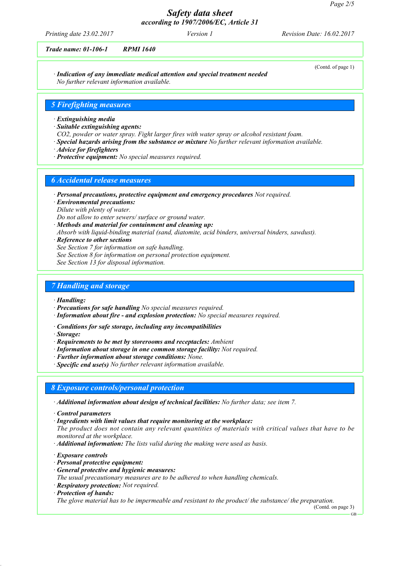(Contd. of page 1)

## *Safety data sheet according to 1907/2006/EC, Article 31*

*Printing date 23.02.2017 Revision Date: 16.02.2017 Version 1*

### *Trade name: 01-106-1 RPMI 1640*

*· Indication of any immediate medical attention and special treatment needed No further relevant information available.*

### *5 Firefighting measures*

#### *· Extinguishing media*

- *· Suitable extinguishing agents:*
- *CO2, powder or water spray. Fight larger fires with water spray or alcohol resistant foam.*
- *· Special hazards arising from the substance or mixture No further relevant information available.*
- *· Advice for firefighters*
- *· Protective equipment: No special measures required.*

#### *6 Accidental release measures*

- *· Personal precautions, protective equipment and emergency procedures Not required.*
- *· Environmental precautions: Dilute with plenty of water.*
- *Do not allow to enter sewers/ surface or ground water.*
- *· Methods and material for containment and cleaning up:*
- *Absorb with liquid-binding material (sand, diatomite, acid binders, universal binders, sawdust).*
- *· Reference to other sections*
- *See Section 7 for information on safe handling.*
- *See Section 8 for information on personal protection equipment.*
- *See Section 13 for disposal information.*

#### *7 Handling and storage*

- *· Handling:*
- *· Precautions for safe handling No special measures required.*
- *· Information about fire and explosion protection: No special measures required.*
- *· Conditions for safe storage, including any incompatibilities*
- *· Storage:*
- *· Requirements to be met by storerooms and receptacles: Ambient*
- *· Information about storage in one common storage facility: Not required.*
- *· Further information about storage conditions: None.*
- *· Specific end use(s) No further relevant information available.*

### *8 Exposure controls/personal protection*

- *· Additional information about design of technical facilities: No further data; see item 7.*
- *· Control parameters*
- *· Ingredients with limit values that require monitoring at the workplace:*
- *The product does not contain any relevant quantities of materials with critical values that have to be monitored at the workplace.*
- *· Additional information: The lists valid during the making were used as basis.*
- *· Exposure controls*
- *· Personal protective equipment:*
- *· General protective and hygienic measures:*
- *The usual precautionary measures are to be adhered to when handling chemicals.*
- *· Respiratory protection: Not required.*
- *· Protection of hands:*

*The glove material has to be impermeable and resistant to the product/ the substance/ the preparation.*

(Contd. on page 3)

GB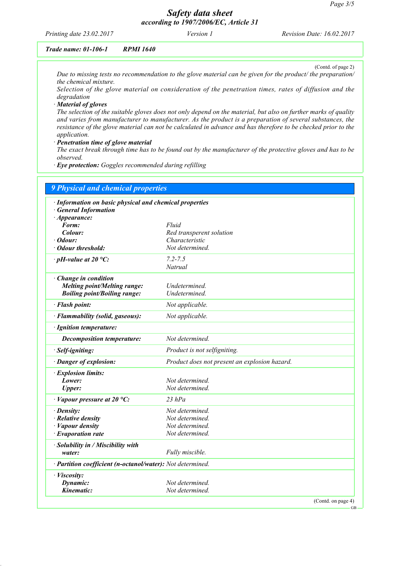## *Safety data sheet according to 1907/2006/EC, Article 31*

*Printing date 23.02.2017 Revision Date: 16.02.2017 Version 1*

### *Trade name: 01-106-1 RPMI 1640*

(Contd. of page 2) *Due to missing tests no recommendation to the glove material can be given for the product/ the preparation/ the chemical mixture.*

*Selection of the glove material on consideration of the penetration times, rates of diffusion and the degradation*

*· Material of gloves*

*The selection of the suitable gloves does not only depend on the material, but also on further marks of quality and varies from manufacturer to manufacturer. As the product is a preparation of several substances, the resistance of the glove material can not be calculated in advance and has therefore to be checked prior to the application.*

*· Penetration time of glove material*

*The exact break through time has to be found out by the manufacturer of the protective gloves and has to be observed.*

*· Eye protection: Goggles recommended during refilling*

| 9 Physical and chemical properties                         |                                               |  |
|------------------------------------------------------------|-----------------------------------------------|--|
| · Information on basic physical and chemical properties    |                                               |  |
| <b>General Information</b>                                 |                                               |  |
| $\cdot$ Appearance:<br>Form:                               | Fluid                                         |  |
| Colour:                                                    | Red transperent solution                      |  |
| · Odour:                                                   | Characteristic                                |  |
| • Odour threshold:                                         | Not determined.                               |  |
| $\cdot$ pH-value at 20 °C:                                 | $7.2 - 7.5$                                   |  |
|                                                            | Natrual                                       |  |
| Change in condition                                        |                                               |  |
| Melting point/Melting range:                               | Undetermined.                                 |  |
| <b>Boiling point/Boiling range:</b>                        | Undetermined.                                 |  |
| · Flash point:                                             | Not applicable.                               |  |
| · Flammability (solid, gaseous):                           | Not applicable.                               |  |
| · Ignition temperature:                                    |                                               |  |
| Decomposition temperature:                                 | Not determined.                               |  |
| · Self-igniting:                                           | Product is not selfigniting.                  |  |
| · Danger of explosion:                                     | Product does not present an explosion hazard. |  |
| · Explosion limits:                                        |                                               |  |
| Lower:                                                     | Not determined.                               |  |
| <b>Upper:</b>                                              | Not determined.                               |  |
| $\cdot$ Vapour pressure at 20 °C:                          | $23$ hPa                                      |  |
| $\cdot$ Density:                                           | Not determined.                               |  |
| $\cdot$ Relative density                                   | Not determined.                               |  |
| · Vapour density                                           | Not determined.                               |  |
| $\cdot$ Evaporation rate                                   | Not determined.                               |  |
| · Solubility in / Miscibility with                         |                                               |  |
| water:                                                     | Fully miscible.                               |  |
| · Partition coefficient (n-octanol/water): Not determined. |                                               |  |
| · Viscosity:                                               |                                               |  |
| Dynamic:                                                   | Not determined.                               |  |
| Kinematic:                                                 | Not determined.                               |  |
|                                                            | (Contd. on page 4)                            |  |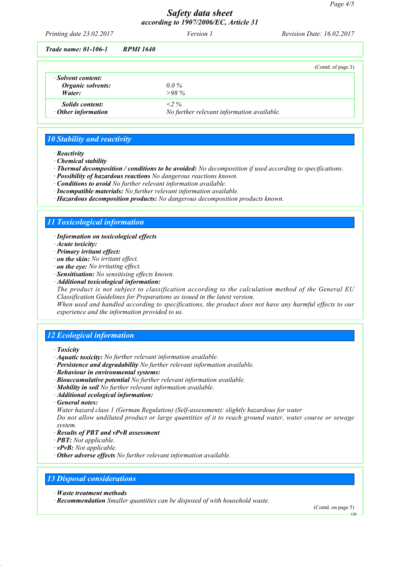## *Safety data sheet according to 1907/2006/EC, Article 31*

| Printing date 23.02.2017    |           | <i>Version 1</i> | <b>Revision Date: 16.02.2017</b> |
|-----------------------------|-----------|------------------|----------------------------------|
| <b>Trade name: 01-106-1</b> | RPMI 1640 |                  |                                  |

| 11000 RUBBO 1100 1        | 111 1111 1VIV                              |
|---------------------------|--------------------------------------------|
|                           | (Contd. of page 3)                         |
| · Solvent content:        |                                            |
| Organic solvents:         | $0.0\%$                                    |
| Water:                    | $>98\%$                                    |
| <i>Solids content:</i>    | $<2\%$                                     |
| $\cdot$ Other information | No further relevant information available. |

### *10 Stability and reactivity*

- *· Reactivity*
- *· Chemical stability*
- *· Thermal decomposition / conditions to be avoided: No decomposition if used according to specifications.*
- *· Possibility of hazardous reactions No dangerous reactions known.*
- *· Conditions to avoid No further relevant information available.*
- *· Incompatible materials: No further relevant information available.*
- *· Hazardous decomposition products: No dangerous decomposition products known.*

### *11 Toxicological information*

- *· Information on toxicological effects*
- *· Acute toxicity:*
- *· Primary irritant effect:*
- *· on the skin: No irritant effect.*
- *· on the eye: No irritating effect.*
- *· Sensitisation: No sensitising effects known.*
- *· Additional toxicological information:*

*The product is not subject to classification according to the calculation method of the General EU Classification Guidelines for Preparations as issued in the latest version.*

*When used and handled according to specifications, the product does not have any harmful effects to our experience and the information provided to us.*

### *12 Ecological information*

- *· Toxicity*
- *· Aquatic toxicity: No further relevant information available.*
- *· Persistence and degradability No further relevant information available.*
- *· Behaviour in environmental systems:*
- *· Bioaccumulative potential No further relevant information available.*
- *· Mobility in soil No further relevant information available.*
- *· Additional ecological information:*
- *· General notes:*

*Water hazard class 1 (German Regulation) (Self-assessment): slightly hazardous for water*

*Do not allow undiluted product or large quantities of it to reach ground water, water course or sewage system.*

- *· Results of PBT and vPvB assessment*
- *· PBT: Not applicable.*
- *· vPvB: Not applicable.*
- *· Other adverse effects No further relevant information available.*

### *13 Disposal considerations*

- *· Waste treatment methods*
- *· Recommendation Smaller quantities can be disposed of with household waste.*

(Contd. on page 5)

GB